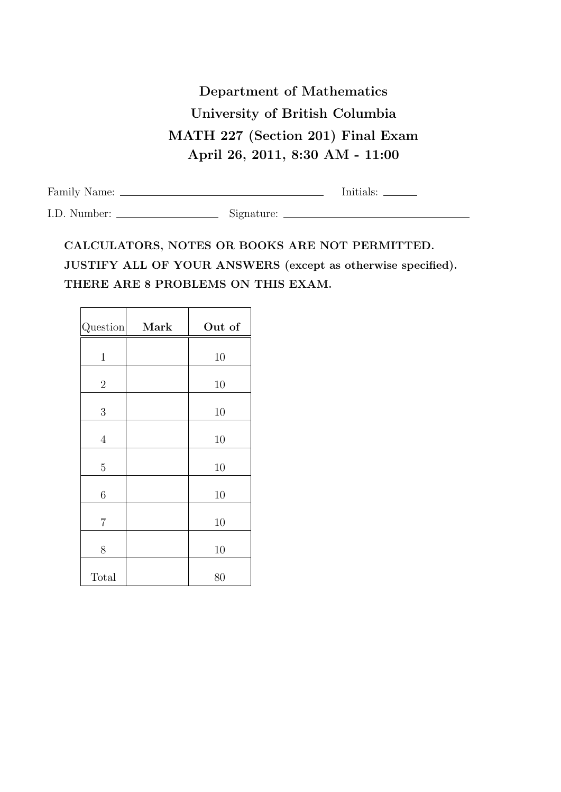## Department of Mathematics University of British Columbia MATH 227 (Section 201) Final Exam April 26, 2011, 8:30 AM - 11:00

| Family Name: |            | Initials: |
|--------------|------------|-----------|
| I.D. Number: | Signature: |           |

## CALCULATORS, NOTES OR BOOKS ARE NOT PERMITTED. JUSTIFY ALL OF YOUR ANSWERS (except as otherwise specified). THERE ARE 8 PROBLEMS ON THIS EXAM.

| Question       | Mark | Out of |
|----------------|------|--------|
| $\mathbf{1}$   |      | 10     |
| $\overline{2}$ |      | 10     |
| 3              |      | 10     |
| $\overline{4}$ |      | 10     |
| $\overline{5}$ |      | 10     |
| $\sqrt{6}$     |      | 10     |
| $\overline{7}$ |      | 10     |
| 8              |      | 10     |
| Total          |      | 80     |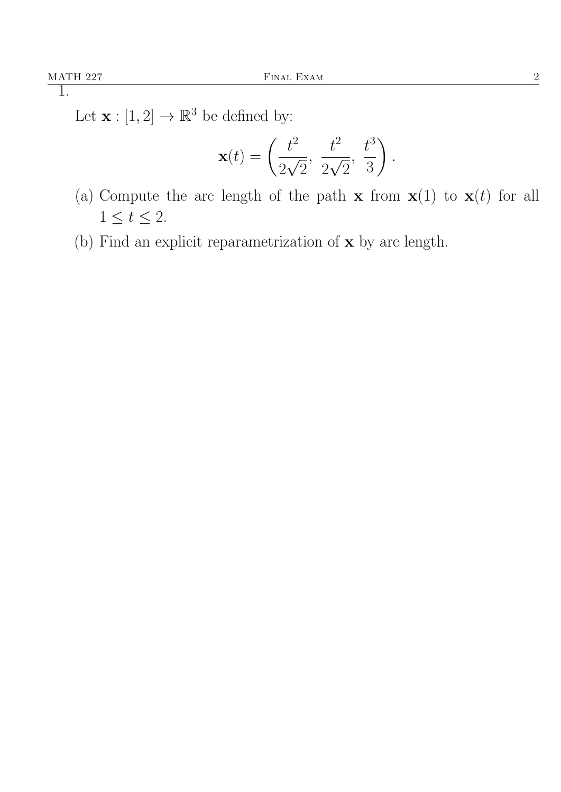Let  $\mathbf{x} : [1,2] \to \mathbb{R}^3$  be defined by:

$$
\mathbf{x}(t) = \left(\frac{t^2}{2\sqrt{2}}, \ \frac{t^2}{2\sqrt{2}}, \ \frac{t^3}{3}\right).
$$

- (a) Compute the arc length of the path  $\mathbf{x}$  from  $\mathbf{x}(1)$  to  $\mathbf{x}(t)$  for all  $1 \leq t \leq 2$ .
- (b) Find an explicit reparametrization of  $\mathbf x$  by arc length.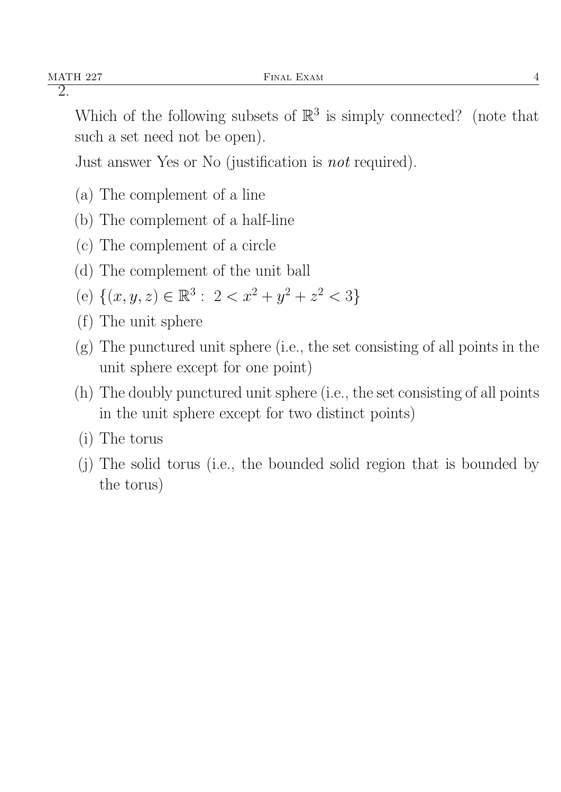Which of the following subsets of  $\mathbb{R}^3$  is simply connected? (note that such a set need not be open).

Just answer Yes or No (justification is not required).

- (a) The complement of a line
- (b) The complement of a half-line
- (c) The complement of a circle
- (d) The complement of the unit ball
- (e)  $\{(x, y, z) \in \mathbb{R}^3 : 2 < x^2 + y^2 + z^2 < 3\}$
- (f) The unit sphere
- (g) The punctured unit sphere (i.e., the set consisting of all points in the unit sphere except for one point)
- (h) The doubly punctured unit sphere (i.e., the set consisting of all points in the unit sphere except for two distinct points)
- (i) The torus
- (j) The solid torus (i.e., the bounded solid region that is bounded by the torus)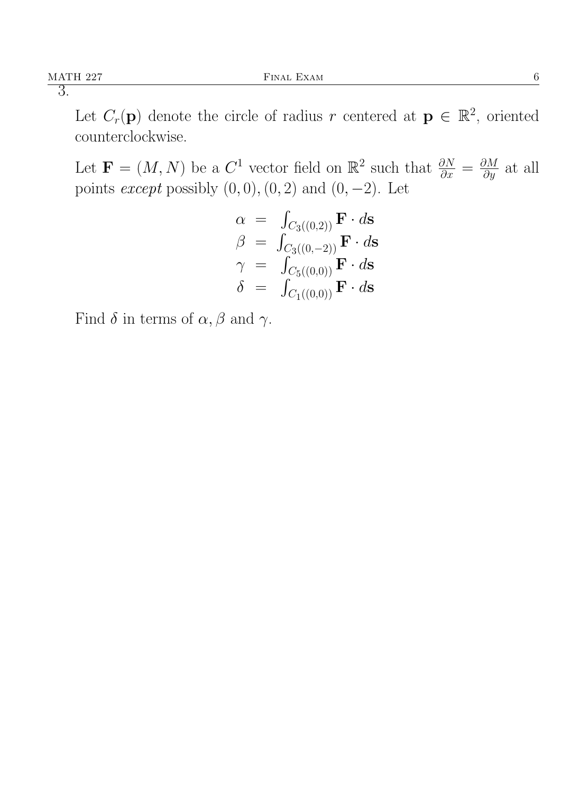Let  $C_r(\mathbf{p})$  denote the circle of radius r centered at  $\mathbf{p} \in \mathbb{R}^2$ , oriented counterclockwise.

Let  $\mathbf{F} = (M, N)$  be a  $C^1$  vector field on  $\mathbb{R}^2$  such that  $\frac{\partial N}{\partial x} = \frac{\partial M}{\partial y}$  at all points *except* possibly  $(0, 0), (0, 2)$  and  $(0, -2)$ . Let

$$
\begin{array}{rcl} \alpha & = & \int_{C_3((0,2))} \mathbf{F} \cdot d\mathbf{s} \\ \beta & = & \int_{C_3((0,-2))} \mathbf{F} \cdot d\mathbf{s} \\ \gamma & = & \int_{C_5((0,0))} \mathbf{F} \cdot d\mathbf{s} \\ \delta & = & \int_{C_1((0,0))} \mathbf{F} \cdot d\mathbf{s} \end{array}
$$

Find  $\delta$  in terms of  $\alpha$ ,  $\beta$  and  $\gamma$ .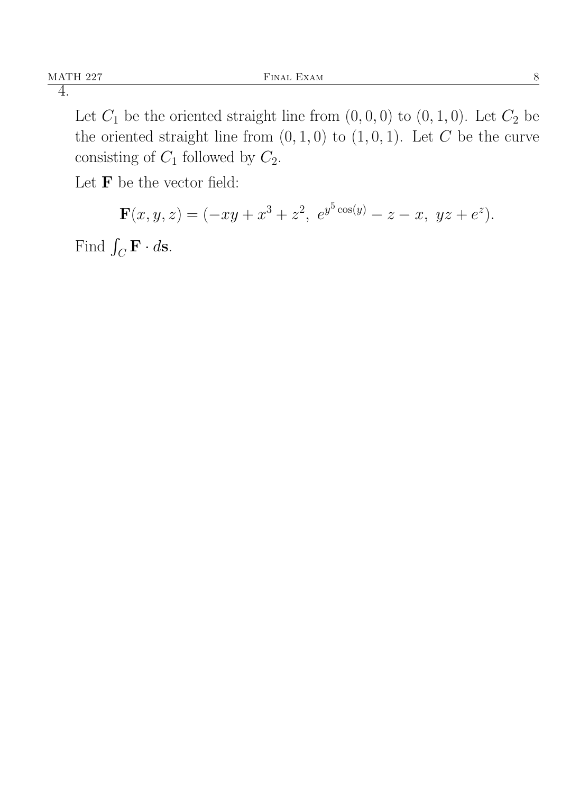Let  $C_1$  be the oriented straight line from  $(0, 0, 0)$  to  $(0, 1, 0)$ . Let  $C_2$  be the oriented straight line from  $(0, 1, 0)$  to  $(1, 0, 1)$ . Let C be the curve consisting of  $C_1$  followed by  $C_2$ .

Let  $\mathbf F$  be the vector field:

 $\mathbf{F}(x,y,z)=(-xy+x^3+z^2, e^{y^5\cos(y)}-z-x, yz+e^z).$ 

Find  $\int_C \mathbf{F} \cdot d\mathbf{s}$ .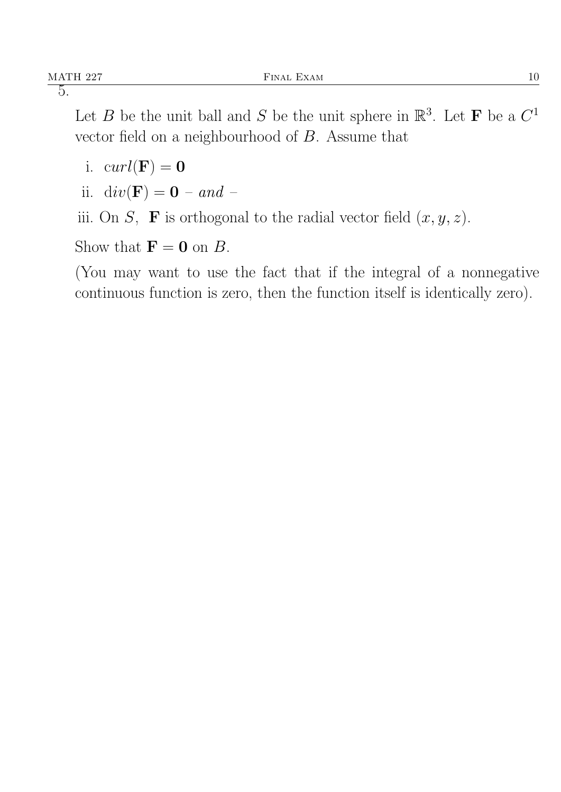Let B be the unit ball and S be the unit sphere in  $\mathbb{R}^3$ . Let **F** be a  $C^1$ vector field on a neighbourhood of B. Assume that

- i.  $curl(\mathbf{F}) = 0$
- ii.  $div(\mathbf{F}) = \mathbf{0} and -$

iii. On S, **F** is orthogonal to the radial vector field  $(x, y, z)$ .

Show that  $\mathbf{F} = \mathbf{0}$  on B.

(You may want to use the fact that if the integral of a nonnegative continuous function is zero, then the function itself is identically zero).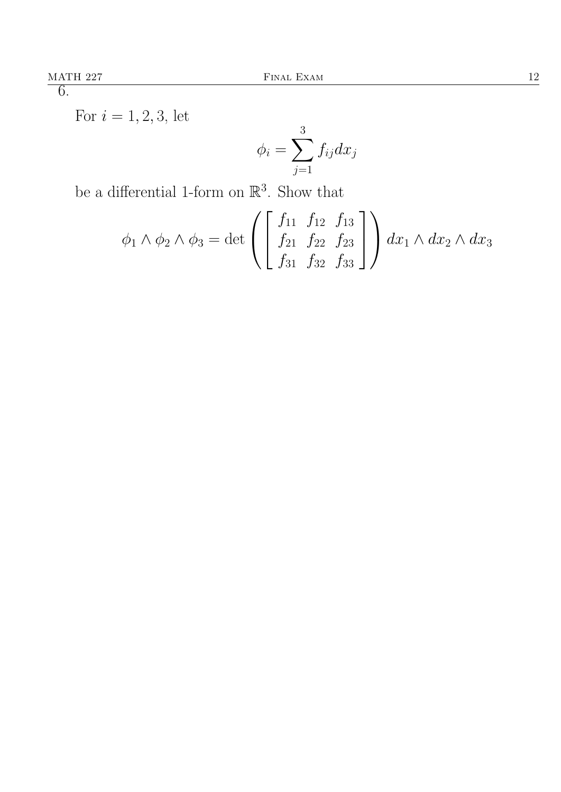For  $i = 1, 2, 3$ , let

$$
\phi_i = \sum_{j=1}^3 f_{ij} dx_j
$$

be a differential 1-form on  $\mathbb{R}^3$ . Show that

$$
\phi_1 \wedge \phi_2 \wedge \phi_3 = \det \left( \begin{bmatrix} f_{11} & f_{12} & f_{13} \\ f_{21} & f_{22} & f_{23} \\ f_{31} & f_{32} & f_{33} \end{bmatrix} \right) dx_1 \wedge dx_2 \wedge dx_3
$$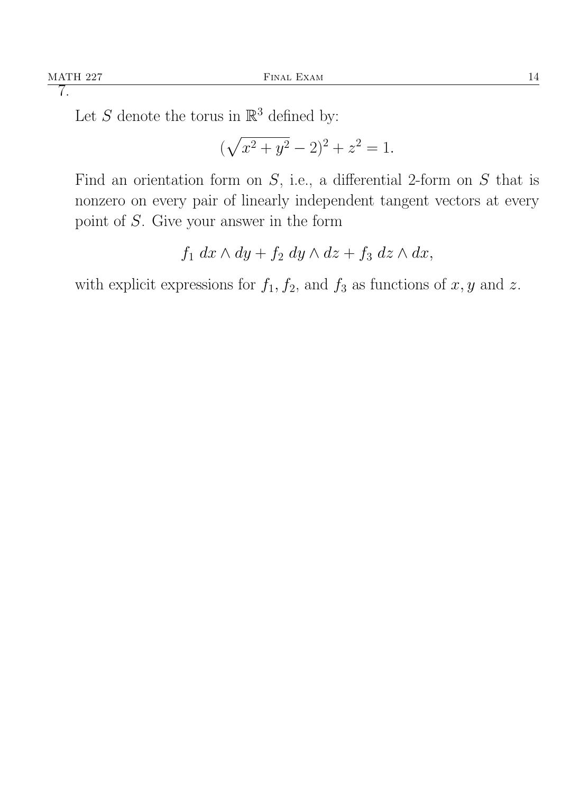Let S denote the torus in  $\mathbb{R}^3$  defined by:

$$
(\sqrt{x^2 + y^2} - 2)^2 + z^2 = 1.
$$

Find an orientation form on  $S$ , i.e., a differential 2-form on  $S$  that is nonzero on every pair of linearly independent tangent vectors at every point of S. Give your answer in the form

$$
f_1 dx \wedge dy + f_2 dy \wedge dz + f_3 dz \wedge dx,
$$

with explicit expressions for  $f_1, f_2$ , and  $f_3$  as functions of x, y and z.